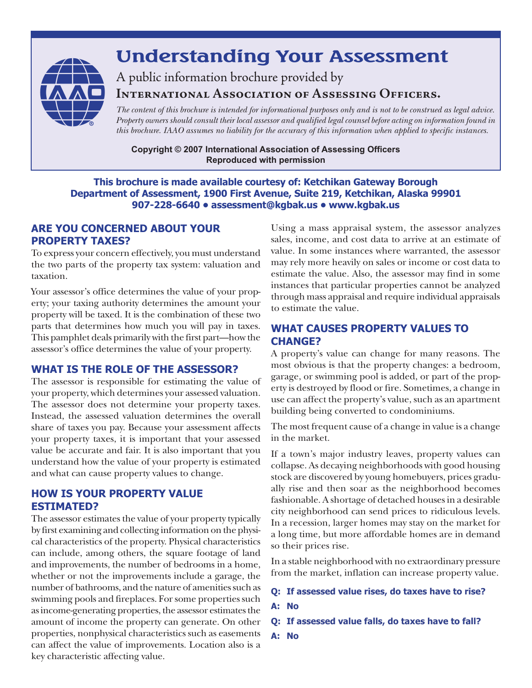

# **Understanding Your Assessment**

A public information brochure provided by **International Association of Assessing Officers.** 

*The content of this brochure is intended for informational purposes only and is not to be construed as legal advice. Property owners should consult their local assessor and qualified legal counsel before acting on information found in this brochure. IAAO assumes no liability for the accuracy of this information when applied to specific instances.*

**Copyright © 2007 International Association of Assessing Officers Reproduced with permission**

#### **This brochure is made available courtesy of: Ketchikan Gateway Borough Department of Assessment, 1900 First Avenue, Suite 219, Ketchikan, Alaska 99901 907-228-6640 • assessment@kgbak.us • www.kgbak.us**

## **ARE YOU CONCERNED ABOUT Your PROPERTY TAXES?**

To express your concern effectively, you must understand the two parts of the property tax system: valuation and taxation.

Your assessor's office determines the value of your property; your taxing authority determines the amount your property will be taxed. It is the combination of these two parts that determines how much you will pay in taxes. This pamphlet deals primarily with the first part—how the assessor's office determines the value of your property.

## **what IS THE ROLE OF THE ASSESSOR?**

The assessor is responsible for estimating the value of your property, which determines your assessed valuation. The assessor does not determine your property taxes. Instead, the assessed valuation determines the overall share of taxes you pay. Because your assessment affects your property taxes, it is important that your assessed value be accurate and fair. It is also important that you understand how the value of your property is estimated and what can cause property values to change.

#### **HOW IS YOUR PROPERTY VALUE ESTIMATED?**

The assessor estimates the value of your property typically by first examining and collecting information on the physical characteristics of the property. Physical characteristics can include, among others, the square footage of land and improvements, the number of bedrooms in a home, whether or not the improvements include a garage, the number of bathrooms, and the nature of amenities such as swimming pools and fireplaces. For some properties such as income-generating properties, the assessor estimates the amount of income the property can generate. On other properties, nonphysical characteristics such as easements can affect the value of improvements. Location also is a key characteristic affecting value.

Using a mass appraisal system, the assessor analyzes sales, income, and cost data to arrive at an estimate of value. In some instances where warranted, the assessor may rely more heavily on sales or income or cost data to estimate the value. Also, the assessor may find in some instances that particular properties cannot be analyzed through mass appraisal and require individual appraisals to estimate the value.

## **WHAT CAUSES PROPERTY VALUES TO CHANGE?**

A property's value can change for many reasons. The most obvious is that the property changes: a bedroom, garage, or swimming pool is added, or part of the property is destroyed by flood or fire. Sometimes, a change in use can affect the property's value, such as an apartment building being converted to condominiums.

The most frequent cause of a change in value is a change in the market.

If a town's major industry leaves, property values can collapse. As decaying neighborhoods with good housing stock are discovered by young homebuyers, prices gradually rise and then soar as the neighborhood becomes fashionable. A shortage of detached houses in a desirable city neighborhood can send prices to ridiculous levels. In a recession, larger homes may stay on the market for a long time, but more affordable homes are in demand so their prices rise.

In a stable neighborhood with no extraordinary pressure from the market, inflation can increase property value.

- **Q: If assessed value rises, do taxes have to rise?**
- **A: No**
- **Q: If assessed value falls, do taxes have to fall?**
- **A: No**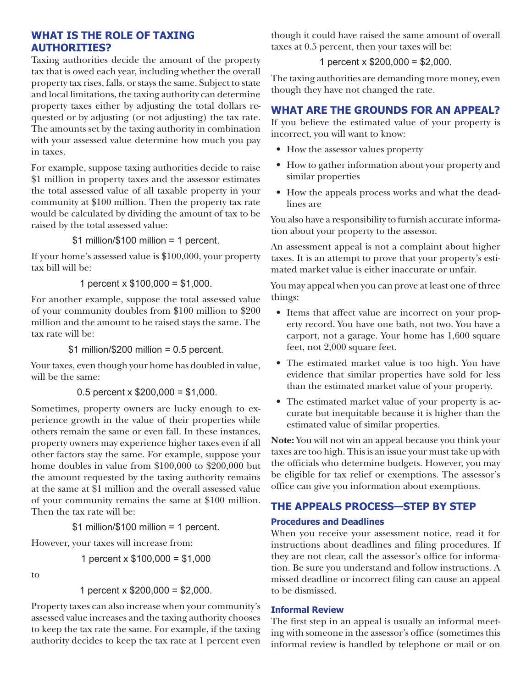## **WHAT IS The Role of Taxing AuthoRities?**

Taxing authorities decide the amount of the property tax that is owed each year, including whether the overall property tax rises, falls, or stays the same. Subject to state and local limitations, the taxing authority can determine property taxes either by adjusting the total dollars requested or by adjusting (or not adjusting) the tax rate. The amounts set by the taxing authority in combination with your assessed value determine how much you pay in taxes.

For example, suppose taxing authorities decide to raise \$1 million in property taxes and the assessor estimates the total assessed value of all taxable property in your community at \$100 million. Then the property tax rate would be calculated by dividing the amount of tax to be raised by the total assessed value:

\$1 million/\$100 million = 1 percent.

If your home's assessed value is \$100,000, your property tax bill will be:

1 percent  $x$  \$100,000 = \$1,000.

For another example, suppose the total assessed value of your community doubles from \$100 million to \$200 million and the amount to be raised stays the same. The tax rate will be:

 $$1$  million/\$200 million = 0.5 percent.

Your taxes, even though your home has doubled in value, will be the same:

0.5 percent  $x$  \$200,000 = \$1,000.

Sometimes, property owners are lucky enough to experience growth in the value of their properties while others remain the same or even fall. In these instances, property owners may experience higher taxes even if all other factors stay the same. For example, suppose your home doubles in value from \$100,000 to \$200,000 but the amount requested by the taxing authority remains at the same at \$1 million and the overall assessed value of your community remains the same at \$100 million. Then the tax rate will be:

\$1 million/\$100 million = 1 percent.

However, your taxes will increase from:

1 percent x \$100,000 = \$1,000

to

```
1 percent x $200,000 = $2,000.
```
Property taxes can also increase when your community's assessed value increases and the taxing authority chooses to keep the tax rate the same. For example, if the taxing authority decides to keep the tax rate at 1 percent even though it could have raised the same amount of overall taxes at 0.5 percent, then your taxes will be:

## 1 percent x  $$200,000 = $2,000$ .

The taxing authorities are demanding more money, even though they have not changed the rate.

## **WHAT ARE THE GROUNDS FOR AN APPEAL?**

If you believe the estimated value of your property is incorrect, you will want to know:

- How the assessor values property
- How to gather information about your property and similar properties
- How the appeals process works and what the deadlines are

You also have a responsibility to furnish accurate information about your property to the assessor.

An assessment appeal is not a complaint about higher taxes. It is an attempt to prove that your property's estimated market value is either inaccurate or unfair.

You may appeal when you can prove at least one of three things:

- Items that affect value are incorrect on your property record. You have one bath, not two. You have a carport, not a garage. Your home has 1,600 square feet, not 2,000 square feet.
- The estimated market value is too high. You have evidence that similar properties have sold for less than the estimated market value of your property.
- The estimated market value of your property is accurate but inequitable because it is higher than the estimated value of similar properties.

**Note:** You will not win an appeal because you think your taxes are too high. This is an issue your must take up with the officials who determine budgets. However, you may be eligible for tax relief or exemptions. The assessor's office can give you information about exemptions.

# **THE APPEALS PROCESS—STEP BY STEP**

## **Procedures and Deadlines**

When you receive your assessment notice, read it for instructions about deadlines and filing procedures. If they are not clear, call the assessor's office for information. Be sure you understand and follow instructions. A missed deadline or incorrect filing can cause an appeal to be dismissed.

#### **Informal Review**

The first step in an appeal is usually an informal meeting with someone in the assessor's office (sometimes this informal review is handled by telephone or mail or on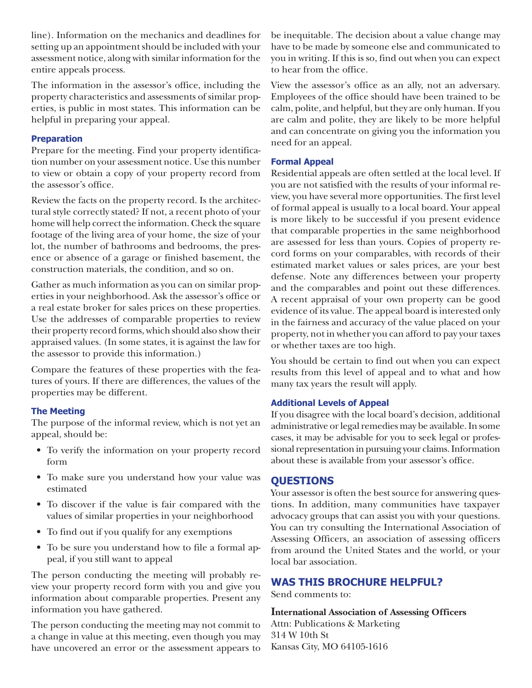line). Information on the mechanics and deadlines for setting up an appointment should be included with your assessment notice, along with similar information for the entire appeals process.

The information in the assessor's office, including the property characteristics and assessments of similar properties, is public in most states. This information can be helpful in preparing your appeal.

#### **Preparation**

Prepare for the meeting. Find your property identification number on your assessment notice. Use this number to view or obtain a copy of your property record from the assessor's office.

Review the facts on the property record. Is the architectural style correctly stated? If not, a recent photo of your home will help correct the information. Check the square footage of the living area of your home, the size of your lot, the number of bathrooms and bedrooms, the presence or absence of a garage or finished basement, the construction materials, the condition, and so on.

Gather as much information as you can on similar properties in your neighborhood. Ask the assessor's office or a real estate broker for sales prices on these properties. Use the addresses of comparable properties to review their property record forms, which should also show their appraised values. (In some states, it is against the law for the assessor to provide this information.)

Compare the features of these properties with the features of yours. If there are differences, the values of the properties may be different.

#### **The Meeting**

The purpose of the informal review, which is not yet an appeal, should be:

- • To verify the information on your property record form
- • To make sure you understand how your value was estimated
- To discover if the value is fair compared with the values of similar properties in your neighborhood
- To find out if you qualify for any exemptions
- • To be sure you understand how to file a formal appeal, if you still want to appeal

The person conducting the meeting will probably review your property record form with you and give you information about comparable properties. Present any information you have gathered.

The person conducting the meeting may not commit to a change in value at this meeting, even though you may have uncovered an error or the assessment appears to be inequitable. The decision about a value change may have to be made by someone else and communicated to you in writing. If this is so, find out when you can expect to hear from the office.

View the assessor's office as an ally, not an adversary. Employees of the office should have been trained to be calm, polite, and helpful, but they are only human. If you are calm and polite, they are likely to be more helpful and can concentrate on giving you the information you need for an appeal.

#### **Formal Appeal**

Residential appeals are often settled at the local level. If you are not satisfied with the results of your informal review, you have several more opportunities. The first level of formal appeal is usually to a local board. Your appeal is more likely to be successful if you present evidence that comparable properties in the same neighborhood are assessed for less than yours. Copies of property record forms on your comparables, with records of their estimated market values or sales prices, are your best defense. Note any differences between your property and the comparables and point out these differences. A recent appraisal of your own property can be good evidence of its value. The appeal board is interested only in the fairness and accuracy of the value placed on your property, not in whether you can afford to pay your taxes or whether taxes are too high.

You should be certain to find out when you can expect results from this level of appeal and to what and how many tax years the result will apply.

#### **Additional Levels of Appeal**

If you disagree with the local board's decision, additional administrative or legal remedies may be available. In some cases, it may be advisable for you to seek legal or professional representation in pursuing your claims. Information about these is available from your assessor's office.

## **QUESTIONS**

Your assessor is often the best source for answering questions. In addition, many communities have taxpayer advocacy groups that can assist you with your questions. You can try consulting the International Association of Assessing Officers, an association of assessing officers from around the United States and the world, or your local bar association.

## **Was this Brochure Helpful?**

Send comments to:

**International Association of Assessing Officers** Attn: Publications & Marketing 314 W 10th St Kansas City, MO 64105-1616